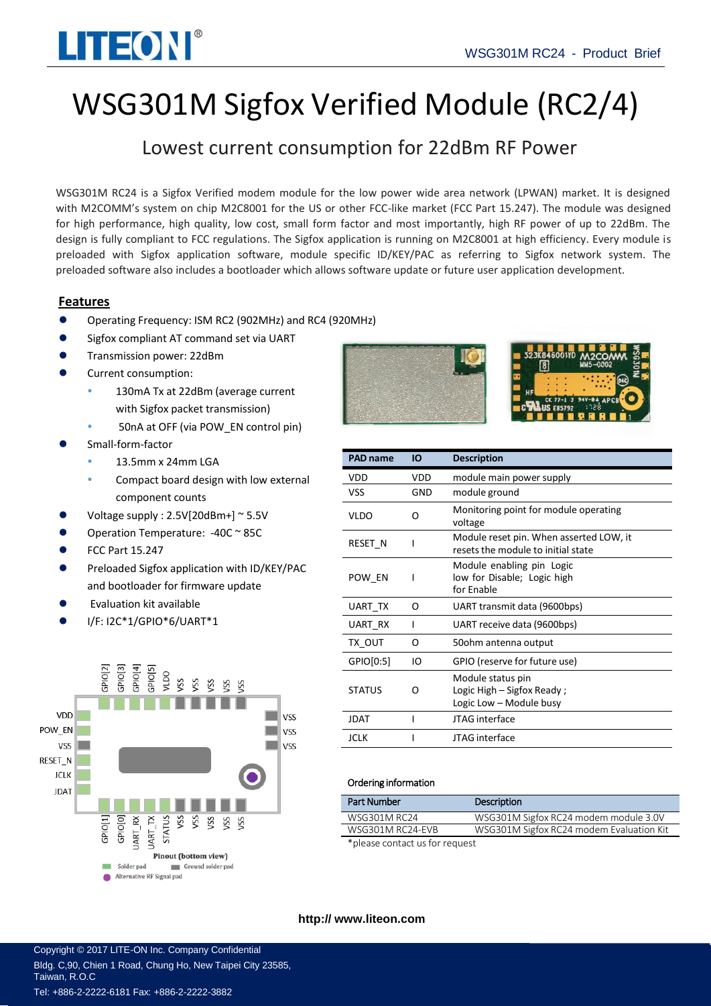

# WSG301M Sigfox Verified Module (RC2/4)

# Lowest current consumption for 22dBm RF Power

WSG301M RC24 is a Sigfox Verified modem module for the low power wide area network (LPWAN) market. It is designed with M2COMM's system on chip M2C8001 for the US or other FCC-like market (FCC Part 15.247). The module was designed for high performance, high quality, low cost, small form factor and most importantly, high RF power of up to 22dBm. The design is fully compliant to FCC regulations. The Sigfox application is running on M2C8001 at high efficiency. Every module is preloaded with Sigfox application software, module specific ID/KEY/PAC as referring to Sigfox network system. The preloaded software also includes a bootloader which allows software update or future user application development.

### **Features**

- Operating Frequency: ISM RC2 (902MHz) and RC4 (920MHz)
- Sigfox compliant AT command set via UART
- Transmission power: 22dBm
- Current consumption:
	- 130mA Tx at 22dBm (average current with Sigfox packet transmission)
	- 50nA at OFF (via POW\_EN control pin)
- Small-form-factor
	- 13.5mm x 24mm LGA
	- Compact board design with low external component counts
- Voltage supply : 2.5V[20dBm+] ~ 5.5V
- Operation Temperature: -40C ~ 85C
- FCC Part 15.247
- Preloaded Sigfox application with ID/KEY/PAC and bootloader for firmware update
- Evaluation kit available
- I/F: I2C\*1/GPIO\*6/UART\*1







| <b>PAD name</b> | ΙO  | <b>Description</b>                                                            |
|-----------------|-----|-------------------------------------------------------------------------------|
| VDD             | VDD | module main power supply                                                      |
| VSS             | GND | module ground                                                                 |
| VLDO            | റ   | Monitoring point for module operating<br>voltage                              |
| RESET N         |     | Module reset pin. When asserted LOW, it<br>resets the module to initial state |
| POW EN          | ı   | Module enabling pin Logic<br>low for Disable; Logic high<br>for Enable        |
| UART TX         | O   | UART transmit data (9600bps)                                                  |
| UART RX         | I   | UART receive data (9600bps)                                                   |
| TX OUT          | Ω   | 50ohm antenna output                                                          |
| GPIO[0:5]       | IO  | GPIO (reserve for future use)                                                 |
| <b>STATUS</b>   | Ω   | Module status pin<br>Logic High – Sigfox Ready;<br>Logic Low - Module busy    |
| <b>JDAT</b>     | ı   | JTAG interface                                                                |
| JCLK            |     | JTAG interface                                                                |

#### Ordering information

| <b>Part Number</b>             | Description                              |  |
|--------------------------------|------------------------------------------|--|
| WSG301M RC24                   | WSG301M Sigfox RC24 modem module 3.0V    |  |
| WSG301M RC24-EVB               | WSG301M Sigfox RC24 modem Evaluation Kit |  |
| *please contact us for request |                                          |  |

#### **http:// [www.liteon.com](http://www.m2comm.co/)**

Copyright © 2017 LITE-ON Inc. Company Confidential Bldg. C,90, Chien 1 Road, Chung Ho, New Taipei City 23585, Taiwan, R.O.C Tel: +886-2-2222-6181 Fax: +886-2-2222-3882